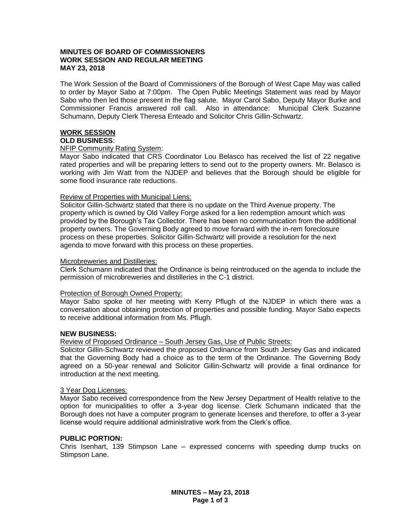### **MINUTES OF BOARD OF COMMISSIONERS WORK SESSION AND REGULAR MEETING MAY 23, 2018**

The Work Session of the Board of Commissioners of the Borough of West Cape May was called to order by Mayor Sabo at 7:00pm. The Open Public Meetings Statement was read by Mayor Sabo who then led those present in the flag salute. Mayor Carol Sabo, Deputy Mayor Burke and Commissioner Francis answered roll call. Also in attendance: Municipal Clerk Suzanne Schumann, Deputy Clerk Theresa Enteado and Solicitor Chris Gillin-Schwartz.

# **WORK SESSION**

# **OLD BUSINESS**:

### NFIP Community Rating System:

Mayor Sabo indicated that CRS Coordinator Lou Belasco has received the list of 22 negative rated properties and will be preparing letters to send out to the property owners. Mr. Belasco is working with Jim Watt from the NJDEP and believes that the Borough should be eligible for some flood insurance rate reductions.

### Review of Properties with Municipal Liens:

Solicitor Gillin-Schwartz stated that there is no update on the Third Avenue property. The property which is owned by Old Valley Forge asked for a lien redemption amount which was provided by the Borough's Tax Collector. There has been no communication from the additional property owners. The Governing Body agreed to move forward with the in-rem foreclosure process on these properties. Solicitor Gillin-Schwartz will provide a resolution for the next agenda to move forward with this process on these properties.

### Microbreweries and Distilleries:

Clerk Schumann indicated that the Ordinance is being reintroduced on the agenda to include the permission of microbreweries and distilleries in the C-1 district.

## Protection of Borough Owned Property:

Mayor Sabo spoke of her meeting with Kerry Pflugh of the NJDEP in which there was a conversation about obtaining protection of properties and possible funding. Mayor Sabo expects to receive additional information from Ms. Pflugh.

## **NEW BUSINESS:**

Review of Proposed Ordinance – South Jersey Gas, Use of Public Streets:

Solicitor Gillin-Schwartz reviewed the proposed Ordinance from South Jersey Gas and indicated that the Governing Body had a choice as to the term of the Ordinance. The Governing Body agreed on a 50-year renewal and Solicitor Gillin-Schwartz will provide a final ordinance for introduction at the next meeting.

#### 3 Year Dog Licenses:

Mayor Sabo received correspondence from the New Jersey Department of Health relative to the option for municipalities to offer a 3-year dog license. Clerk Schumann indicated that the Borough does not have a computer program to generate licenses and therefore, to offer a 3-year license would require additional administrative work from the Clerk's office.

## **PUBLIC PORTION:**

Chris Isenhart, 139 Stimpson Lane – expressed concerns with speeding dump trucks on Stimpson Lane.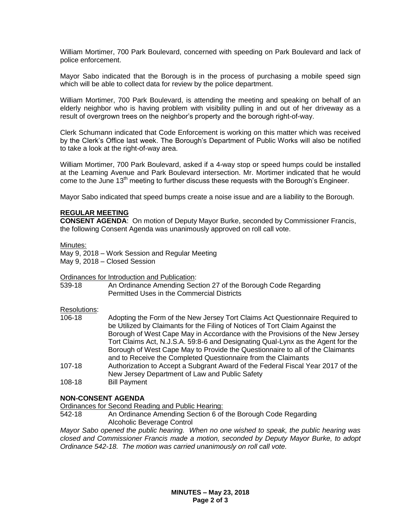William Mortimer, 700 Park Boulevard, concerned with speeding on Park Boulevard and lack of police enforcement.

Mayor Sabo indicated that the Borough is in the process of purchasing a mobile speed sign which will be able to collect data for review by the police department.

William Mortimer, 700 Park Boulevard, is attending the meeting and speaking on behalf of an elderly neighbor who is having problem with visibility pulling in and out of her driveway as a result of overgrown trees on the neighbor's property and the borough right-of-way.

Clerk Schumann indicated that Code Enforcement is working on this matter which was received by the Clerk's Office last week. The Borough's Department of Public Works will also be notified to take a look at the right-of-way area.

William Mortimer, 700 Park Boulevard, asked if a 4-way stop or speed humps could be installed at the Leaming Avenue and Park Boulevard intersection. Mr. Mortimer indicated that he would come to the June 13<sup>th</sup> meeting to further discuss these requests with the Borough's Engineer.

Mayor Sabo indicated that speed bumps create a noise issue and are a liability to the Borough.

#### **REGULAR MEETING**

**CONSENT AGENDA**: On motion of Deputy Mayor Burke, seconded by Commissioner Francis, the following Consent Agenda was unanimously approved on roll call vote.

#### Minutes:

May 9, 2018 – Work Session and Regular Meeting May 9, 2018 – Closed Session

Ordinances for Introduction and Publication:

539-18 An Ordinance Amending Section 27 of the Borough Code Regarding Permitted Uses in the Commercial Districts

#### Resolutions:

| 106-18     | Adopting the Form of the New Jersey Tort Claims Act Questionnaire Required to   |
|------------|---------------------------------------------------------------------------------|
|            | be Utilized by Claimants for the Filing of Notices of Tort Claim Against the    |
|            | Borough of West Cape May in Accordance with the Provisions of the New Jersey    |
|            | Tort Claims Act, N.J.S.A. 59:8-6 and Designating Qual-Lynx as the Agent for the |
|            | Borough of West Cape May to Provide the Questionnaire to all of the Claimants   |
|            | and to Receive the Completed Questionnaire from the Claimants                   |
| $107 - 18$ | Authorization to Accept a Subgrant Award of the Federal Fiscal Year 2017 of the |

- New Jersey Department of Law and Public Safety
- 108-18 Bill Payment

## **NON-CONSENT AGENDA**

Ordinances for Second Reading and Public Hearing:

542-18 An Ordinance Amending Section 6 of the Borough Code Regarding Alcoholic Beverage Control

*Mayor Sabo opened the public hearing. When no one wished to speak, the public hearing was closed and Commissioner Francis made a motion, seconded by Deputy Mayor Burke, to adopt Ordinance 542-18. The motion was carried unanimously on roll call vote.*